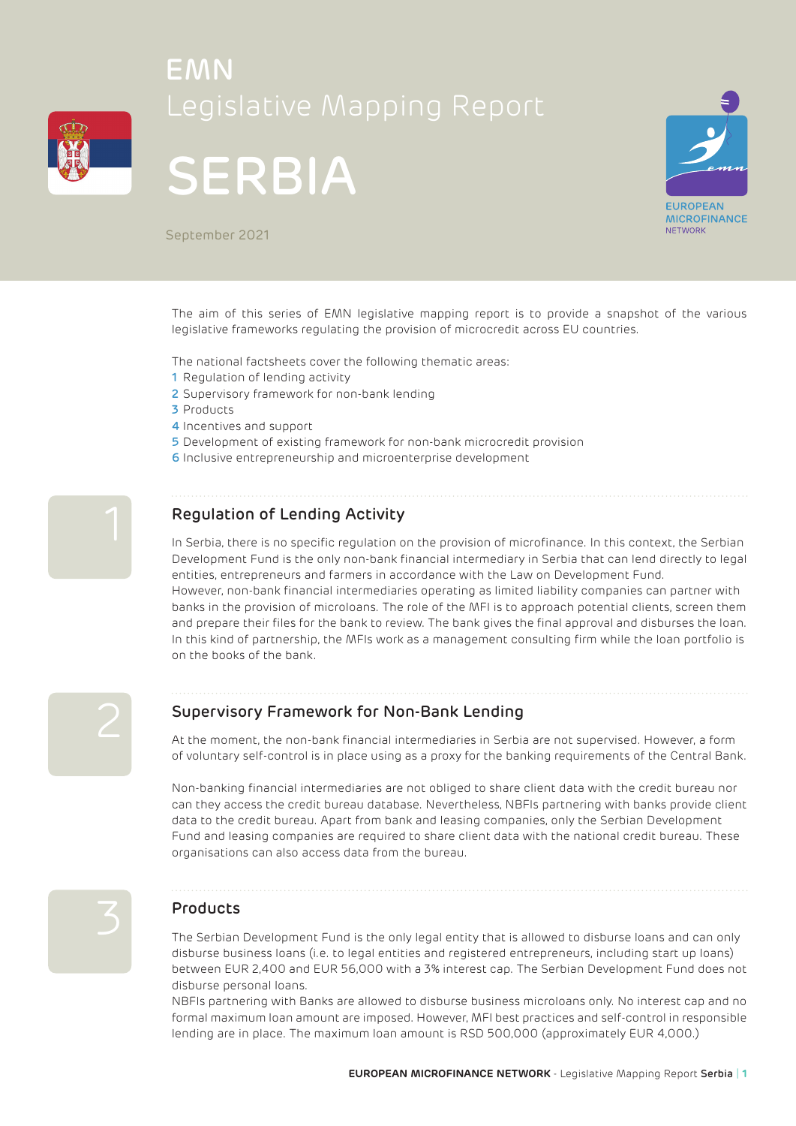

# EMN Legislative Mapping Report





September 2021

The aim of this series of EMN legislative mapping report is to provide a snapshot of the various legislative frameworks regulating the provision of microcredit across EU countries.

The national factsheets cover the following thematic areas:

- 1 Regulation of lending activity
- 2 Supervisory framework for non-bank lending
- 3 Products
- 4 Incentives and support
- 5 Development of existing framework for non-bank microcredit provision
- 6 Inclusive entrepreneurship and microenterprise development



### Regulation of Lending Activity

In Serbia, there is no specific regulation on the provision of microfinance. In this context, the Serbian Development Fund is the only non-bank financial intermediary in Serbia that can lend directly to legal entities, entrepreneurs and farmers in accordance with the Law on Development Fund. However, non-bank financial intermediaries operating as limited liability companies can partner with banks in the provision of microloans. The role of the MFI is to approach potential clients, screen them and prepare their files for the bank to review. The bank gives the final approval and disburses the loan. In this kind of partnership, the MFIs work as a management consulting firm while the loan portfolio is on the books of the bank.



### Supervisory Framework for Non-Bank Lending

At the moment, the non-bank financial intermediaries in Serbia are not supervised. However, a form of voluntary self-control is in place using as a proxy for the banking requirements of the Central Bank.

Non-banking financial intermediaries are not obliged to share client data with the credit bureau nor can they access the credit bureau database. Nevertheless, NBFIs partnering with banks provide client data to the credit bureau. Apart from bank and leasing companies, only the Serbian Development Fund and leasing companies are required to share client data with the national credit bureau. These organisations can also access data from the bureau.



**The Serbian Development Fund is the only legal entity that is allowed to disburse loans and can only**<br>The Serbian Development Fund is the only legal entity that is allowed to disburse loans and can only disburse business loans (i.e. to legal entities and registered entrepreneurs, including start up loans) between EUR 2,400 and EUR 56,000 with a 3% interest cap. The Serbian Development Fund does not disburse personal loans.

> NBFIs partnering with Banks are allowed to disburse business microloans only. No interest cap and no formal maximum loan amount are imposed. However, MFI best practices and self-control in responsible lending are in place. The maximum loan amount is RSD 500,000 (approximately EUR 4,000.)